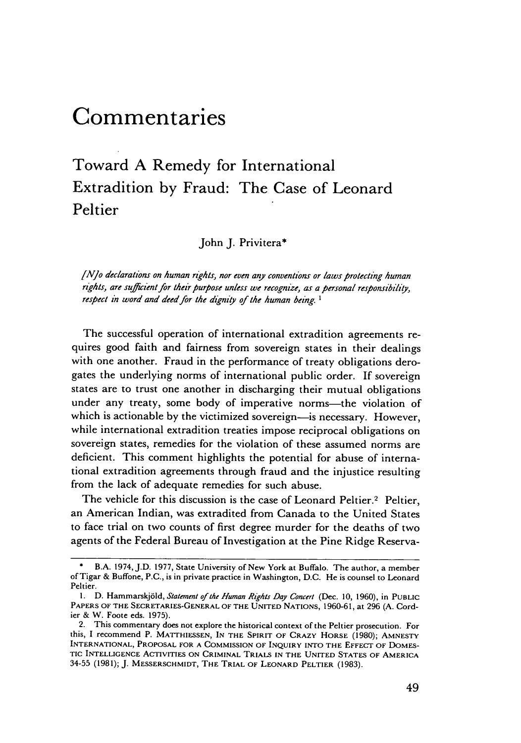# **Commentaries**

# Toward **A** Remedy for International Extradition **by** Fraud: The Case of Leonard Peltier

John J. Privitera\*

[No declarations on *human rights,* nor even any conventions or laws protecting *human* rights, are sufficient for their purpose unless we recognize, as a personal responsibility, respect in word and deed for the dignity of the human being.  $1$ 

The successful operation of international extradition agreements requires good faith and fairness from sovereign states in their dealings with one another. Fraud in the performance of treaty obligations derogates the underlying norms of international public order. If sovereign states are to trust one another in discharging their mutual obligations under any treaty, some body of imperative norms—the violation of which is actionable by the victimized sovereign-is necessary. However, while international extradition treaties impose reciprocal obligations on sovereign states, remedies for the violation of these assumed norms are deficient. This comment highlights the potential for abuse of international extradition agreements through fraud and the injustice resulting from the lack of adequate remedies for such abuse.

The vehicle for this discussion is the case of Leonard Peltier.<sup>2</sup> Peltier, an American Indian, was extradited from Canada to the United States to face trial on two counts of first degree murder for the deaths of two agents of the Federal Bureau of Investigation at the Pine Ridge Reserva-

B.A. 1974, J.D. 1977, State University of New York at Buffalo. The author, a member of Tigar & Buffone, P.C., is in private practice in Washington, D.C. He is counsel to Leonard Peltier.

**<sup>1.</sup>** D. Hammarskj6ld, *Statement of the Human Rights Day Concert* (Dec. **10,** 1960), in **PUBLIC PAPERS** OF **THE SECRETARIES-GENERAL** OF **THE UNITED NATIONS,** 1960-61, at 296 (A. Cordier & W. Foote eds. 1975).

<sup>2.</sup> This commentary does not explore the historical context of the Peltier prosecution. For this, I recommend P. MATTHIESSEN, **IN THE SPIRIT OF CRAZY HORSE** (1980); **AMNESTY INTERNATIONAL,** PROPOSAL **FOR A COMMISSION** OF **INQUIRY INTO** THE **EFFECT OF DOMES-TIC** INTELLIGENCE ACTIVITIES **ON CRIMINAL** TRIALS **IN THE UNITED STATES OF AMERICA** 34-55 **(1981); J. MESSERSCHMIDT, THE** TRIAL **OF LEONARD PELTIER (1983).**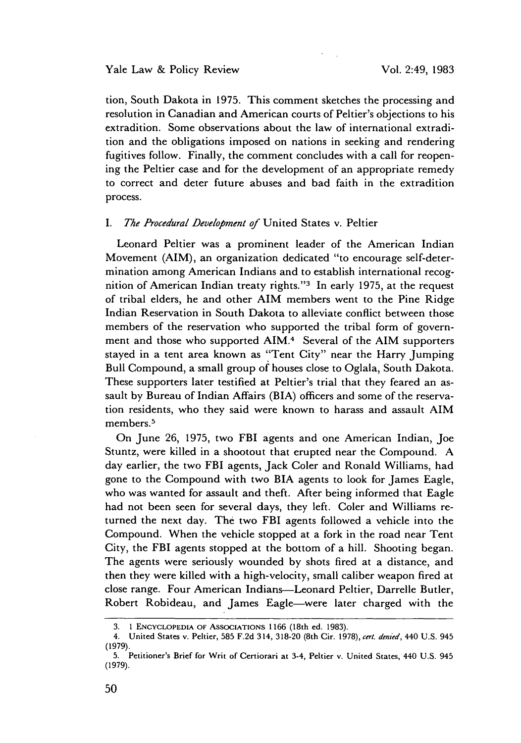#### Yale Law & Policy Review

tion, South Dakota in 1975. This comment sketches the processing and resolution in Canadian and American courts of Peltier's objections to his extradition. Some observations about the law of international extradition and the obligations imposed on nations in seeking and rendering fugitives follow. Finally, the comment concludes with a call for reopening the Peltier case and for the development of an appropriate remedy to correct and deter future abuses and bad faith in the extradition process.

# *I. The Procedural Development of* United States v. Peltier

Leonard Peltier was a prominent leader of the American Indian Movement (AIM), an organization dedicated "to encourage self-determination among American Indians and to establish international recognition of American Indian treaty rights."'3 In early 1975, at the request of tribal elders, he and other AIM members went to the Pine Ridge Indian Reservation in South Dakota to alleviate conflict between those members of the reservation who supported the tribal form of government and those who supported AIM.<sup>4</sup> Several of the AIM supporters stayed in a tent area known as "Tent City" near the Harry Jumping Bull Compound, a small group of houses close to Oglala, South Dakota. These supporters later testified at Peltier's trial that they feared an assault by Bureau of Indian Affairs (BIA) officers and some of the reservation residents, who they said were known to harass and assault AIM members.<sup>5</sup>

On June 26, 1975, two FBI agents and one American Indian, Joe Stuntz, were killed in a shootout that erupted near the Compound. A day earlier, the two FBI agents, Jack Coler and Ronald Williams, had gone to the Compound with two BIA agents to look for James Eagle, who was wanted for assault and theft. After being informed that Eagle had not been seen for several days, they left. Coler and Williams returned the next day. The two FBI agents followed a vehicle into the Compound. When the vehicle stopped at a fork in the road near Tent City, the FBI agents stopped at the bottom of a hill. Shooting began. The agents were seriously wounded by shots fired at a distance, and then they were killed with a high-velocity, small caliber weapon fired at close range. Four American Indians-Leonard Peltier, Darrelle Butler, Robert Robideau, and James Eagle-were later charged with the

<sup>3. 1</sup> **ENCYCLOPEDIA OF** AssocIATIONS **1166** (18th ed. 1983).

<sup>4.</sup> United States v. Peltier, 585 F.2d 314, 318-20 (8th Cir. 1978), cert. denied, 440 U.S. 945 (1979).

<sup>5.</sup> Petitioner's Brief for Writ of Certiorari at 3-4, Peltier v. United States, 440 U.S. 945 (1979).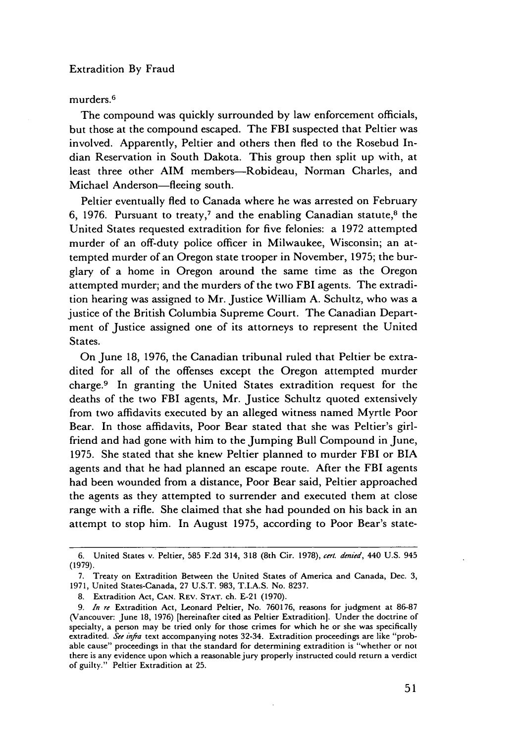# murders.<sup>6</sup>

The compound was quickly surrounded by law enforcement officials, but those at the compound escaped. The FBI suspected that Peltier was involved. Apparently, Peltier and others then fled to the Rosebud Indian Reservation in South Dakota. This group then split up with, at least three other AIM members-Robideau, Norman Charles, and Michael Anderson-fleeing south.

Peltier eventually fled to Canada where he was arrested on February 6, 1976. Pursuant to treaty,<sup>7</sup> and the enabling Canadian statute,<sup>8</sup> the United States requested extradition for five felonies: a 1972 attempted murder of an off-duty police officer in Milwaukee, Wisconsin; an attempted murder of an Oregon state trooper in November, 1975; the burglary of a home in Oregon around the same time as the Oregon attempted murder; and the murders of the two FBI agents. The extradition hearing was assigned to Mr. Justice William A. Schultz, who was a justice of the British Columbia Supreme Court. The Canadian Department of Justice assigned one of its attorneys to represent the United States.

On June 18, 1976, the Canadian tribunal ruled that Peltier be extradited for all of the offenses except the Oregon attempted murder charge.9 In granting the United States extradition request for the deaths of the two FBI agents, Mr. Justice Schultz quoted extensively from two affidavits executed by an alleged witness named Myrtle Poor Bear. In those affidavits, Poor Bear stated that she was Peltier's girlfriend and had gone with him to the Jumping Bull Compound in June, 1975. She stated that she knew Peltier planned to murder FBI or BIA agents and that he had planned an escape route. After the FBI agents had been wounded from a distance, Poor Bear said, Peltier approached the agents as they attempted to surrender and executed them at close range with a rifle. She claimed that she had pounded on his back in an attempt to stop him. In August 1975, according to Poor Bear's state-

<sup>6.</sup> United States v. Peltier, 585 **F.2d** 314, 318 (8th Cir. 1978), cert. denied, 440 **U.S.** 945 (1979).

<sup>7.</sup> Treaty on Extradition Between the United States of America and Canada, Dec. 3, 1971, United States-Canada, 27 U.S.T. 983, T.I.A.S. No. 8237.

<sup>8.</sup> Extradition Act, **CAN.** REV. **STAT.** ch. E-21 (1970).

*<sup>9.</sup>* In re Extradition Act, Leonard Peltier, No. 760176, reasons for judgment at 86-87 (Vancouver: June 18, 1976) [hereinafter cited as Peltier Extradition]. Under the doctrine of specialty, a person may be tried only for those crimes for which he or she was specifically extradited. See infra text accompanying notes 32-34. Extradition proceedings are like "probable cause" proceedings in that the standard for determining extradition is "whether or not there is any evidence upon which a reasonable jury properly instructed could return a verdict of guilty." Peltier Extradition at 25.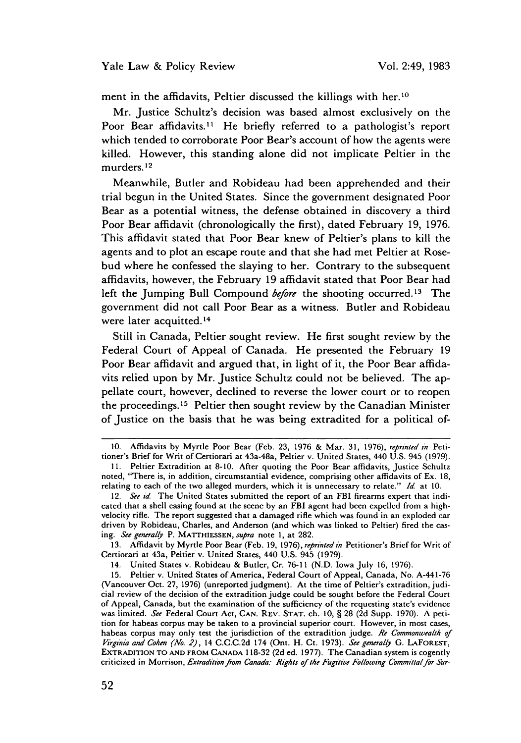ment in the affidavits, Peltier discussed the killings with her.<sup>10</sup>

Mr. Justice Schultz's decision was based almost exclusively on the Poor Bear affidavits.<sup>11</sup> He briefly referred to a pathologist's report which tended to corroborate Poor Bear's account of how the agents were killed. However, this standing alone did not implicate Peltier in the murders. 12

Meanwhile, Butler and Robideau had been apprehended and their trial begun in the United States. Since the government designated Poor Bear as a potential witness, the defense obtained in discovery a third Poor Bear affidavit (chronologically the first), dated February **19, 1976.** This affidavit stated that Poor Bear knew of Peltier's plans to kill the agents and to plot an escape route and that she had met Peltier at Rosebud where he confessed the slaying to her. Contrary to the subsequent affidavits, however, the February **19** affidavit stated that Poor Bear had left the Jumping Bull Compound before the shooting occurred.13 The government did not call Poor Bear as a witness. Butler and Robideau were later acquitted.<sup>14</sup>

Still in Canada, Peltier sought review. He first sought review **by** the Federal Court of Appeal of Canada. He presented the February **19** Poor Bear affidavit and argued that, in light of it, the Poor Bear affidavits relied upon **by** Mr. Justice Schultz could not be believed. The appellate court, however, declined to reverse the lower court or to reopen the proceedings. 15 Peltier then sought review **by** the Canadian Minister of Justice on the basis that he was being extradited for a political of-

13. Affidavit by Myrtle Poor Bear (Feb. 19, 1976), reprinted in Petitioner's Brief for Writ of Certiorari at 43a, Peltier v. United States, 440 U.S. 945 (1979).

14. United States v. Robideau & Butler, Cr. 76-11 (N.D. Iowa July 16, 1976).

**<sup>10.</sup>** Affidavits by Myrtle Poor Bear (Feb. 23, 1976 & Mar. 31, 1976), reprinted in Petitioner's Brief for Writ of Certiorari at 43a-48a, Peltier v. United States, 440 U.S. 945 (1979).

<sup>11.</sup> Peltier Extradition at 8-10. After quoting the Poor Bear affidavits, Justice Schultz noted, "There is, in addition, circumstantial evidence, comprising other affidavits of Ex. 18, relating to each of the two alleged murders, which it is unnecessary to relate." Id. at 10.

<sup>12.</sup> See id. The United States submitted the report of an FBI firearms expert that indicated that a shell casing found at the scene by an FBI agent had been expelled from a highvelocity rifle. The report suggested that a damaged rifle which was found in an exploded car driven by Robideau, Charles, and Anderson (and which was linked to Peltier) fired the casing. See generally P. MATTHIESSEN, supra note **1,** at 282.

<sup>15.</sup> Peltier v. United States of America, Federal Court of Appeal, Canada, No. A-441-76 (Vancouver Oct. 27, 1976) (unreported judgment). At the time of Peltier's extradition, judicial review of the decision of the extradition judge could be sought before the Federal Court of Appeal, Canada, but the examination of the sufficiency of the requesting state's evidence was limited. See Federal Court Act, CAN. REV. STAT. ch. 10, § 28 (2d Supp. 1970). A petition for habeas corpus may be taken to a provincial superior court. However, in most cases, habeas corpus may only test the jurisdiction of the extradition judge. Re Commonwealth of *Virgihia* and Cohen (No. 2), 14 C.C.C.2d 174 (Ont. H. Ct. 1973). See generally G. LAFOREST, EXTRADITION TO AND FROM CANADA 118-32 (2d ed. 1977). The Canadian system is cogently criticized in Morrison, Extradition *from* Canada- *Rights of the Fugitive Following* Committal for Sur-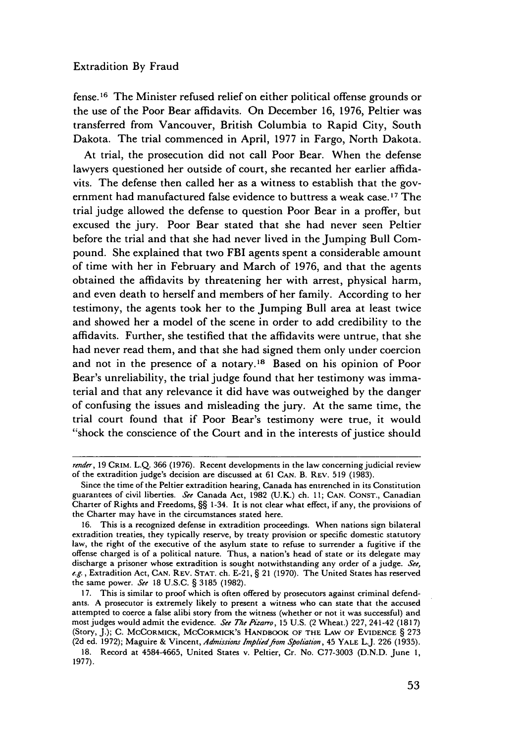fense. 16 The Minister refused relief on either political offense grounds or the use of the Poor Bear affidavits. On December 16, 1976, Peltier was transferred from Vancouver, British Columbia to Rapid City, South Dakota. The trial commenced in April, 1977 in Fargo, North Dakota.

At trial, the prosecution did not call Poor Bear. When the defense lawyers questioned her outside of court, she recanted her earlier affidavits. The defense then called her as a witness to establish that the government had manufactured false evidence to buttress a weak case.<sup>17</sup> The trial judge allowed the defense to question Poor Bear in a proffer, but excused the jury. Poor Bear stated that she had never seen Peltier before the trial and that she had never lived in the Jumping Bull Compound. She explained that two FBI agents spent a considerable amount of time with her in February and March of 1976, and that the agents obtained the affidavits by threatening her with arrest, physical harm, and even death to herself and members of her family. According to her testimony, the agents took her to the Jumping Bull area at least twice and showed her a model of the scene in order to add credibility to the affidavits. Further, she testified that the affidavits were untrue, that she had never read them, and that she had signed them only under coercion and not in the presence of a notary.<sup>18</sup> Based on his opinion of Poor Bear's unreliability, the trial judge found that her testimony was immaterial and that any relevance it did have was outweighed by the danger of confusing the issues and misleading the jury. At the same time, the trial court found that if Poor Bear's testimony were true, it would "shock the conscience of the Court and in the interests of justice should

*render,* 19 CRIM. L.Q. 366 (1976). Recent developments in the law concerning judicial review of the extradition judge's decision are discussed at 61 **CAN.** B. REV. 519 (1983).

Since the time of the Peltier extradition hearing, Canada has entrenched in its Constitution guarantees of civil liberties. *See* Canada Act, 1982 (U.K.) ch. 11; CAN. **CONST.,** Canadian Charter of Rights and Freedoms, §§ 1-34. It is not clear what effect, if any, the provisions of the Charter may have in the circumstances stated here.

<sup>16.</sup> This is a recognized defense in extradition proceedings. When nations sign bilateral extradition treaties, they typically reserve, by treaty provision or specific domestic statutory law, the right of the executive of the asylum state to refuse to surrender a fugitive if the offense charged is of a political nature. Thus, a nation's head of state or its delegate may discharge a prisoner whose extradition is sought notwithstanding any order of a judge. *See, e.g.,* Extradition Act, CAN. REV. **STAT.** ch. E-21, § 21 (1970). The United States has reserved the same power. *See* 18 U.S.C. § 3185 (1982).

<sup>17.</sup> This is similar to proof which is often offered by prosecutors against criminal defendants. A prosecutor is extremely likely to present a witness who can state that the accused attempted to coerce a false alibi story from the witness (whether or not it was successful) and most judges would admit the evidence. *See The* Pizarro, 15 U.S. (2 Wheat.) 227, 241-42 (1817) (Story, J.); C. MCCORMICK, MCCORMICK'S HANDBOOK **OF THE LAW OF EVIDENCE** § 273 (2d ed. 1972); Maguire & Vincent, Admissions Implied from Spoliation, 45 YALE L.J. 226 (1935).

**<sup>18.</sup>** Record at 4584-4665, United States v. Peltier, Cr. No. C77-3003 (D.N.D. June **1,** 1977).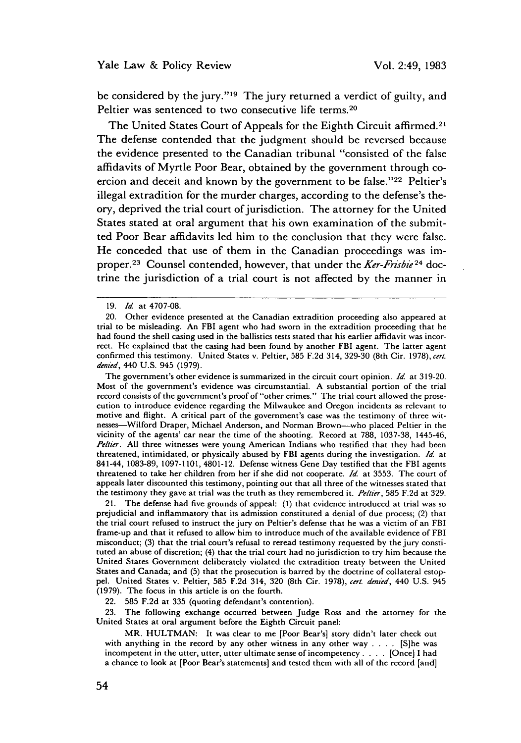be considered by the jury."<sup>19</sup> The jury returned a verdict of guilty, and Peltier was sentenced to two consecutive life terms.<sup>20</sup>

The United States Court of Appeals for the Eighth Circuit affirmed.<sup>21</sup> The defense contended that the judgment should be reversed because the evidence presented to the Canadian tribunal "consisted of the false affidavits of Myrtle Poor Bear, obtained by the government through coercion and deceit and known by the government to be false."<sup>22</sup> Peltier's illegal extradition for the murder charges, according to the defense's theory, deprived the trial court of jurisdiction. The attorney for the United States stated at oral argument that his own examination of the submitted Poor Bear affidavits led him to the conclusion that they were false. He conceded that use of them in the Canadian proceedings was improper.<sup>23</sup> Counsel contended, however, that under the *Ker-Frisbie*<sup>24</sup> doctrine the jurisdiction of a trial court is not affected by the manner in

The government's other evidence is summarized in the circuit court opinion. *Id.* at 319-20. Most of the government's evidence was circumstantial. A substantial portion of the trial record consists of the government's proof of "other crimes." The trial court allowed the prosecution to introduce evidence regarding the Milwaukee and Oregon incidents as relevant to motive and flight. A critical part of the government's case was the testimony of three witnesses-Wilford Draper, Michael Anderson, and Norman Brown-who placed Peltier in the vicinity of the agents' car near the time of the shooting. Record at 788, 1037-38, 1445-46, *Peltier.* All three witnesses were young American Indians who testified that they had been threatened, intimidated, or physically abused by FBI agents during the investigation. **Id.** at 841-44, 1083-89, 1097-1101, 4801-12. Defense witness Gene Day testified that the FBI agents threatened to take her children from her if she did not cooperate. **Id.** at 3553. The court of appeals later discounted this testimony, pointing out that all three of the witnesses stated that the testimony they gave at trial was the truth as they remembered it. *Pe/tier,* 585 F.2d at 329.

21. The defense had five grounds of appeal: (1) that evidence introduced at trial was so prejudicial and inflammatory that its admission constituted a denial of due process; (2) that the trial court refused to instruct the jury on Peltier's defense that he was a victim of an FBI frame-up and that it refused to allow him to introduce much of the available evidence of FBI misconduct; (3) that the trial court's refusal to reread testimony requested by the jury constituted an abuse of discretion; (4) that the trial court had no jurisdiction to try him because the United States Government deliberately violated the extradition treaty between the United States and Canada; and (5) that the prosecution is barred by the doctrine of collateral estoppel. United States v. Peltier, 585 F.2d 314, 320 (8th Cir. 1978), *cert. den ed,* 440 U.S. 945 (1979). The focus in this article is on the fourth.

22. 585 F.2d at 335 (quoting defendant's contention).

23. The following exchange occurred between Judge Ross and the attorney for the United States at oral argument before the Eighth Circuit panel:

MR. HULTMAN: It was clear to me [Poor Bear's] story didn't later check out with anything in the record by any other witness in any other way . **. .** . [S]he was incompetent in the utter, utter, utter ultimate sense of incompetency . **. .** .[Once] I had a chance to look at [Poor Bear's statements] and tested them with all of the record [and]

<sup>19.</sup> *Id* at 4707-08.

<sup>20.</sup> Other evidence presented at the Canadian extradition proceeding also appeared at trial to be misleading. An FBI agent who had sworn in the extradition proceeding that he had found the shell casing used in the ballistics tests stated that his earlier affidavit was incorrect. He explained that the casing had been found by another FBI agent. The latter agent confirmed this testimony. United States v. Peltier, 585 F.2d 314, 329-30 (8th Cir. 1978), cert. denied, 440 U.S. 945 (1979).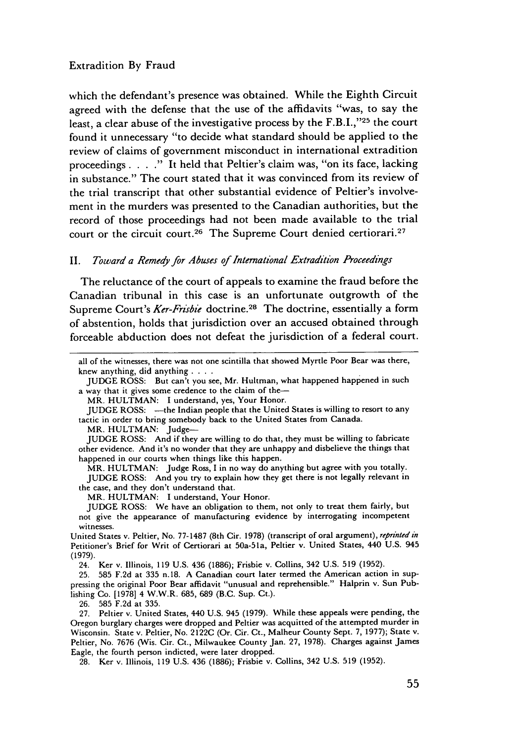which the defendant's presence was obtained. While the Eighth Circuit agreed with the defense that the use of the affidavits "was, to say the least, a clear abuse of the investigative process by the F.B.I.,"25 the court found it unnecessary "to decide what standard should be applied to the review of claims of government misconduct in international extradition proceedings . **. . ."** It held that Peltier's claim was, "on its face, lacking in substance." The court stated that it was convinced from its review of the trial transcript that other substantial evidence of Peltier's involvement in the murders was presented to the Canadian authorities, but the record of those proceedings had not been made available to the trial court or the circuit court.<sup>26</sup> The Supreme Court denied certiorari.<sup>27</sup>

# II. *Toward a Remedy for Abuses of International Extradition Proceedings*

The reluctance of the court of appeals to examine the fraud before the Canadian tribunal in this case is an unfortunate outgrowth of the Supreme Court's *Ker-Frisbie* doctrine.<sup>28</sup> The doctrine, essentially a form of abstention, holds that jurisdiction over an accused obtained through forceable abduction does not defeat the jurisdiction of a federal court.

MR. HULTMAN: Judge-

MR. HULTMAN: I understand, Your Honor.

**JUDGE** ROSS: We have an obligation to them, not only to treat them fairly, but not give the appearance of manufacturing evidence by interrogating incompetent witnesses.

24. Ker v. Illinois, 119 U.S. 436 (1886); Frisbie v. Collins, 342 U.S. **519** (1952).

**26.** 585 F.2d at 335.

28. Ker v. Illinois, **119** U.S. 436 (1886); Frisbie v. Collins, 342 U.S. **519** (1952).

all of the witnesses, there was not one scintilla that showed Myrtle Poor Bear was there, knew anything, did anything **....**

**JUDGE** ROSS: But can't you see, Mr. Hultman, what happened happened in such a way that it gives some credence to the claim of the-

MR. HULTMAN: I understand, yes, Your Honor.

JUDGE ROSS: - the Indian people that the United States is willing to resort to any tactic in order to bring somebody back to the United States from Canada.

JUDGE ROSS: And if they are willing to do that, they must be willing to fabricate other evidence. And it's no wonder that they are unhappy and disbelieve the things that happened in our courts when things like this happen.

MR. HULTMAN: Judge Ross, I in no way do anything but agree with you totally. **JUDGE** ROSS: And you try to explain how they get there is not legally relevant in the case, and they don't understand that.

United States v. Peltier, No. 77-1487 (8th Cir. 1978) (transcript of oral argument), *reprinted in* Petitioner's Brief for Writ of Certiorari at 50a-51a, Peltier v. United States, 440 U.S. 945 (1979).

<sup>25. 585</sup> F.2d at 335 n.18. A Canadian court later termed the American action in suppressing the original Poor Bear affidavit "unusual and reprehensible." Halprin v. Sun Publishing Co. [1978] 4 W.W.R. 685, 689 (B.C. Sup. Ct.).

<sup>27.</sup> Peltier v. United States, 440 U.S. 945 (1979). While these appeals were pending, the Oregon burglary charges were dropped and Peltier was acquitted of the attempted murder in Wisconsin. State v. Peltier, No. 2122C (Or. Cir. Ct., Malheur County Sept. 7, 1977); State v. Peltier, No. 7676 (Wis. Cir. Ct., Milwaukee County Jan. 27, 1978). Charges against James Eagle, the fourth person indicted, were later dropped.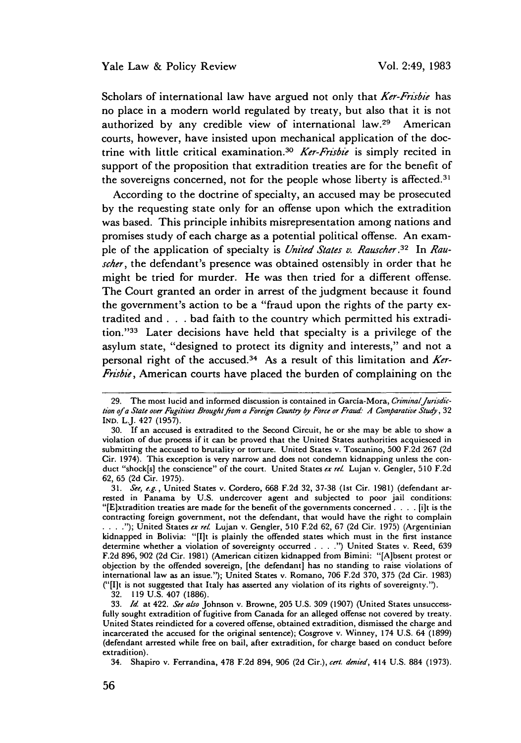Scholars of international law have argued not only that *Ker-Frisbie* has no place in a modern world regulated by treaty, but also that it is not authorized by any credible view of international law.29 American courts, however, have insisted upon mechanical application of the doctrine with little critical examination.<sup>30</sup> Ker-Frisbie is simply recited in support of the proposition that extradition treaties are for the benefit of the sovereigns concerned, not for the people whose liberty is affected.<sup>31</sup>

According to the doctrine of specialty, an accused may be prosecuted by the requesting state only for an offense upon which the extradition was based. This principle inhibits misrepresentation among nations and promises study of each charge as a potential political offense. An example of the application of specialty is *United States v. Rauscher.3 <sup>2</sup>*In *Rauscher,* the defendant's presence was obtained ostensibly in order that he might be tried for murder. He was then tried for a different offense. The Court granted an order in arrest of the judgment because it found the government's action to be a "fraud upon the rights of the party extradited and **. . .** bad faith to the country which permitted his extradition."<sup>33</sup> Later decisions have held that specialty is a privilege of the asylum state, "designed to protect its dignity and interests," and not a personal right of the accused. 34 As a result of this limitation and *Ker-Frisbie,* American courts have placed the burden of complaining on the

32. 119 U.S. 407 (1886).

<sup>29.</sup> The most lucid and informed discussion is contained in García-Mora, Criminal Jurisdic*tion* of a State over Fugitives Brought from a Foreign Countiy by *Force or Fraud- A Comparative Study,* 32 IND. L.J. 427 (1957).

<sup>30.</sup> If an accused is extradited to the Second Circuit, he or she may be able to show a violation of due process if it can be proved that the United States authorities acquiesced in submitting the accused to brutality or torture. United States v. Toscanino, 500 F.2d 267 (2d Cir. 1974). This exception is very narrow and does not condemn kidnapping unless the conduct "shock[s] the conscience" of the court. United States *ex rel.* Lujan v. Gengler, 510 F.2d **62,** 65 (2d Cir. 1975).

<sup>31.</sup> *See, e.g.,* United States v. Cordero, 668 F.2d 32, 37-38 (1st Cir. 1981) (defendant arrested in Panama by U.S. undercover agent and subjected to poor jail conditions: "[E]xtradition treaties are made for the benefit of the governments concerned **....** [i]t is the contracting foreign government, not the defendant, that would have the right to complain **.... ");** United States *ex rel.* Lujan v. Gengler, 510 F.2d **62,** 67 (2d Cir. 1975) (Argentinian kidnapped in Bolivia: "[I]t is plainly the offended states which must in the first instance determine whether a violation of sovereignty occurred **.... ")** United States v. Reed, 639 F.2d 896, 902 (2d Cir. 1981) (American citizen kidnapped from Bimini: "[A]bsent protest or objection by the offended sovereign, [the defendant] has no standing to raise violations of international law as an issue."); United States v. Romano, **706** F.2d 370, 375 (2d Cir. 1983) ("[I]t is not suggested that Italy has asserted any violation of its rights of sovereignty.").

<sup>33.</sup> *Id.* at 422. *See also* Johnson v. Browne, **205** U.S. 309 (1907) (United States unsuccessfully sought extradition of fugitive from Canada for an alleged offense not covered by treaty. United States reindicted for a covered offense, obtained extradition, dismissed the charge and incarcerated the accused for the original sentence); Cosgrove v. Winney, 174 U.S. 64 (1899) (defendant arrested while free on bail, after extradition, for charge based on conduct before extradition).

<sup>34.</sup> Shapiro v. Ferrandina, 478 F.2d 894, 906 (2d Cir.), *cert. denied,* 414 U.S. 884 (1973).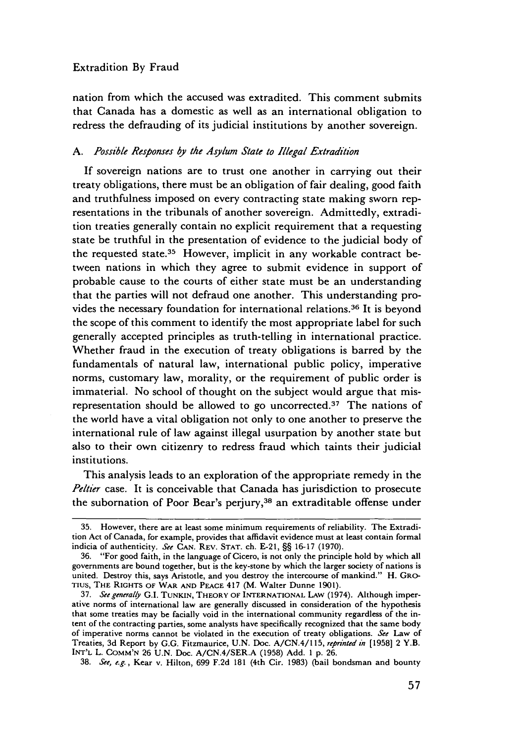nation from which the accused was extradited. This comment submits that Canada has a domestic as well as an international obligation to redress the defrauding of its judicial institutions by another sovereign.

# *A. Possible Responses by the Asylum State to Illegal Extradtion*

If sovereign nations are to trust one another in carrying out their treaty obligations, there must be an obligation of fair dealing, good faith and truthfulness imposed on every contracting state making sworn representations in the tribunals of another sovereign. Admittedly, extradition treaties generally contain no explicit requirement that a requesting state be truthful in the presentation of evidence to the judicial body of the requested state.35 However, implicit in any workable contract between nations in which they agree to submit evidence in support of probable cause to the courts of either state must be an understanding that the parties will not defraud one another. This understanding provides the necessary foundation for international relations. 36 It is beyond the scope of this comment to identify the most appropriate label for such generally accepted principles as truth-telling in international practice. Whether fraud in the execution of treaty obligations is barred by the fundamentals of natural law, international public policy, imperative norms, customary law, morality, or the requirement of public order is immaterial. No school of thought on the subject would argue that misrepresentation should be allowed to go uncorrected.<sup>37</sup> The nations of the world have a vital obligation not only to one another to preserve the international rule of law against illegal usurpation by another state but also to their own citizenry to redress fraud which taints their judicial institutions.

This analysis leads to an exploration of the appropriate remedy in the *Peltier* case. It is conceivable that Canada has jurisdiction to prosecute the subornation of Poor Bear's perjury,38 an extraditable offense under

38. *See, e.g.,* Kear v. Hilton, 699 F.2d 181 (4th Cir. 1983) (bail bondsman and bounty

<sup>35.</sup> However, there are at least some minimum requirements of reliability. The Extradition Act of Canada, for example, provides that affidavit evidence must at least contain formal indicia of authenticity. See **CAN.** REV. STAT. ch. **E-21,** §§ 16-17 (1970).

<sup>36. &</sup>quot;For good faith, in the language of Cicero, is not only the principle hold by which all governments are bound together, but is the key-stone by which the larger society of nations is united. Destroy this, says Aristotle, and you destroy the intercourse of mankind." H. GRO-TIUS, THE RIGHTS OF WAR AND PEACE 417 (M. Walter Dunne 1901).

<sup>37.</sup> See generally G.I. TUNKIN, THEORY OF INTERNATIONAL LAW (1974). Although imperative norms of international law are generally discussed in consideration of the hypothesis that some treaties may be facially void in the international community regardless of the intent of the contracting parties, some analysts have specifically recognized that the same body of imperative norms cannot be violated in the execution of treaty obligations. See Law of Treaties, 3d Report by G.G. Fitzmaurice, U.N. Doc. A/CN.4/l 15, reprinted *in* [1958] 2 Y.B. **INT'L** L. COMM'N **26** U.N. Doc. A/CN.4/SER.A (1958) Add. 1 p. 26.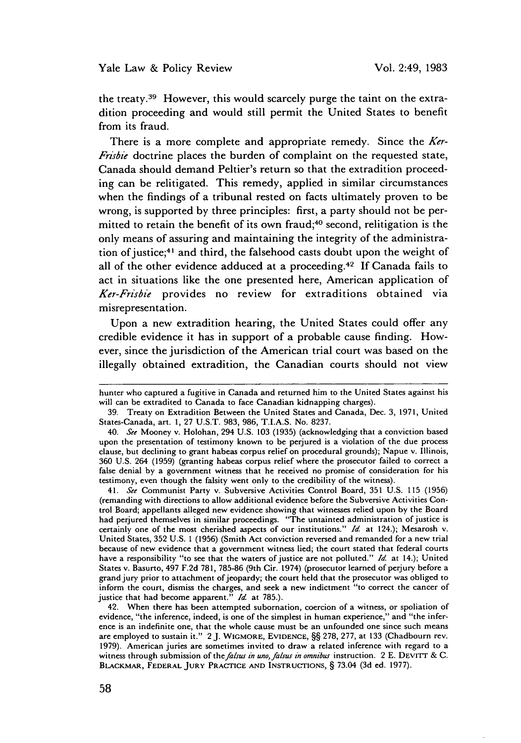the treaty.39 However, this would scarcely purge the taint on the extradition proceeding and would still permit the United States to benefit from its fraud.

There is a more complete and appropriate remedy. Since the *Ker-Frisbie* doctrine places the burden of complaint on the requested state, Canada should demand Peltier's return so that the extradition proceeding can be relitigated. This remedy, applied in similar circumstances when the findings of a tribunal rested on facts ultimately proven to be wrong, is supported by three principles: first, a party should not be permitted to retain the benefit of its own fraud;<sup>40</sup> second, relitigation is the only means of assuring and maintaining the integrity of the administration of justice;<sup>41</sup> and third, the falsehood casts doubt upon the weight of all of the other evidence adduced at a proceeding. 42 If Canada fails to act in situations like the one presented here, American application of Ker-Frisbie provides no review for extraditions obtained via misrepresentation.

Upon a new extradition hearing, the United States could offer any credible evidence it has in support of a probable cause finding. However, since the jurisdiction of the American trial court was based on the illegally obtained extradition, the Canadian courts should not view

41. *See* Communist Party v. Subversive Activities Control Board, 351 U.S. 115 (1956) (remanding with directions to allow additional evidence before the Subversive Activities Control Board; appellants alleged new evidence showing that witnesses relied upon by the Board had perjured themselves in similar proceedings. "The untainted administration of justice is certainly one of the most cherished aspects of our institutions." *Id* at 124.); Mesarosh v. United States, 352 U.S. 1 (1956) (Smith Act conviction reversed and remanded for a new trial because of new evidence that a government witness lied; the court stated that federal courts have a responsibility "to see that the waters of justice are not polluted." *Id.* at 14.); United States v. Basurto, 497 F.2d 781, 785-86 (9th Cir. 1974) (prosecutor learned of perjury before a grand jury prior to attachment of jeopardy; the court held that the prosecutor was obliged to inform the court, dismiss the charges, and seek a new indictment "to correct the cancer of justice that had become apparent." *Id.* at 785.).

42. When there has been attempted subornation, coercion of a witness, or spoliation of evidence, "the inference, indeed, is one of the simplest in human experience," and "the inference is an indefinite one, that the whole cause must be an unfounded one since such means are employed to sustain it." 2 J. WIGMORE, EVIDENCE, §§ 278, 277, at 133 (Chadbourn rev. 1979). American juries are sometimes invited to draw a related inference with regard to a witness through submission of the falsus in uno, falsus in omnibus instruction. 2 E. DEVITT & C. BLACKMAR, **FEDERAL** JURY PRACTICE **AND** INSTRUCTIONS, § 73.04 (3d ed. 1977).

hunter who captured a fugitive in Canada and returned him to the United States against his will can be extradited to Canada to face Canadian kidnapping charges).

<sup>39.</sup> Treaty on Extradition Between the United States and Canada, Dec. 3, 1971, United States-Canada, art. 1, 27 **U.S.T.** 983, 986, T.I.A.S. No. 8237.

<sup>40.</sup> *See* Mooney v. Holohan, 294 U.S. 103 (1935) (acknowledging that a conviction based upon the presentation of testimony known to be perjured is a violation of the due process clause, but declining to grant habeas corpus relief on procedural grounds); Napue v. Illinois, 360 U.S. 264 (1959) (granting habeas corpus relief where the prosecutor failed to correct a false denial by a government witness that he received no promise of consideration for his testimony, even though the falsity went only to the credibility of the witness).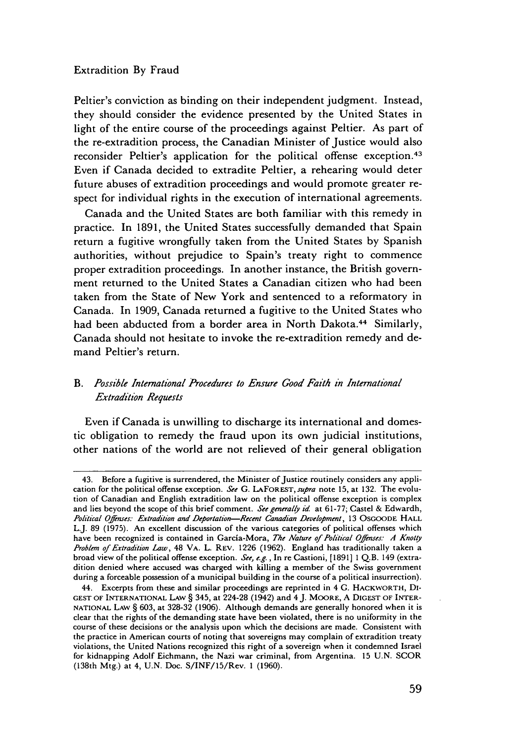Peltier's conviction as binding on their independent judgment. Instead, they should consider the evidence presented by the United States in light of the entire course of the proceedings against Peltier. As part of the re-extradition process, the Canadian Minister of Justice would also reconsider Peltier's application for the political offense exception.<sup>43</sup> Even if Canada decided to extradite Peltier, a rehearing would deter future abuses of extradition proceedings and would promote greater respect for individual rights in the execution of international agreements.

Canada and the United States are both familiar with this remedy in practice. In 1891, the United States successfully demanded that Spain return a fugitive wrongfully taken from the United States by Spanish authorities, without prejudice to Spain's treaty right to commence proper extradition proceedings. In another instance, the British government returned to the United States a Canadian citizen who had been taken from the State of New York and sentenced to a reformatory in Canada. In 1909, Canada returned a fugitive to the United States who had been abducted from a border area in North Dakota.<sup>44</sup> Similarly, Canada should not hesitate to invoke the re-extradition remedy and demand Peltier's return.

# *B. Possible International Procedures to Ensure Good Faith in International Extradition Requests*

Even if Canada is unwilling to discharge its international and domestic obligation to remedy the fraud upon its own judicial institutions, other nations of the world are not relieved of their general obligation

<sup>43.</sup> Before a fugitive is surrendered, the Minister of Justice routinely considers any application for the political offense exception. See G. LAFOREST, *Supra* note 15, at 132. The evolution of Canadian and English extradition law on the political offense exception is complex and lies beyond the scope of this brief comment. See generally id. at 61-77; Castel & Edwardh, *Political Ofnses:* Extradition and *Deportation-Recent Canadian Development,* 13 OSGOODE HALL L.J. 89 (1975). An excellent discussion of the various categories of political offenses which have been recognized is contained in Garcia-Mora, *The Nature of Politcal Offenses: A Knotty Problem of* Extradition Law, 48 VA. L. REv. 1226 (1962). England has traditionally taken a broad view of the political offense exception. See, e.g., In re Castioni, [1891] 1 Q.B. 149 (extradition denied where accused was charged with killing a member of the Swiss government during a forceable possession of a municipal building in the course of a political insurrection).

<sup>44.</sup> Excerpts from these and similar proceedings are reprinted in 4 **G.** HACKWORTH, DI-**GEST** OF INTERNATIONAL LAW § 345, at 224-28 (1942) and 4 J. MOORE, A **DIGEST** OF INTER-**NATIONAL** LAW § 603, at 328-32 (1906). Although demands are generally honored when it is clear that the rights of the demanding state have been violated, there is no uniformity in the course of these decisions or the analysis upon which the decisions are made. Consistent with the practice in American courts of noting that sovereigns may complain of extradition treaty violations, the United Nations recognized this right of a sovereign when it condemned Israel for kidnapping Adolf Eichmann, the Nazi war criminal, from Argentina. 15 U.N. SCOR (138th Mtg.) at 4, U.N. Doc. S/INF/15/Rev. 1 (1960).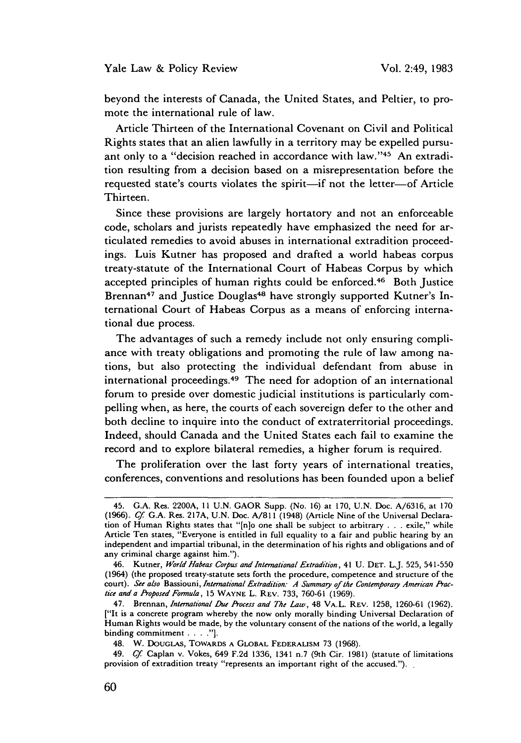beyond the interests of Canada, the United States, and Peltier, to promote the international rule of law.

Article Thirteen of the International Covenant on Civil and Political Rights states that an alien lawfully in a territory may be expelled pursuant only to a "decision reached in accordance with law."45 An extradition resulting from a decision based on a misrepresentation before the requested state's courts violates the spirit-if not the letter-of Article Thirteen.

Since these provisions are largely hortatory and not an enforceable code, scholars and jurists repeatedly have emphasized the need for articulated remedies to avoid abuses in international extradition proceedings. Luis Kutner has proposed and drafted a world habeas corpus treaty-statute of the International Court of Habeas Corpus by which accepted principles of human rights could be enforced.<sup>46</sup> Both Justice Brennan<sup>47</sup> and Justice Douglas<sup>48</sup> have strongly supported Kutner's International Court of Habeas Corpus as a means of enforcing international due process.

The advantages of such a remedy include not only ensuring compliance with treaty obligations and promoting the rule of law among nations, but also protecting the individual defendant from abuse in international proceedings. 49 The need for adoption of an international forum to preside over domestic judicial institutions is particularly compelling when, as here, the courts of each sovereign defer to the other and both decline to inquire into the conduct of extraterritorial proceedings. Indeed, should Canada and the United States each fail to examine the record and to explore bilateral remedies, a higher forum is required.

The proliferation over the last forty years of international treaties, conferences, conventions and resolutions has been founded upon a belief

<sup>45.</sup> **G.A.** Res. 2200A, 11 U.N. GAOR Supp. (No. **16)** at **170, U.N.** Doc. A/6316, at 170 (1966). *Cf* G.A. Res. 217A, U.N. Doc. A/811 (1948) (Article Nine of the Universal Declaration of Human Rights states that "[n]o one shall be subject to arbitrary . **.**.exile," while Article Ten states, "Everyone is entitled in full equality to a fair and public hearing by an independent and impartial tribunal, in the determination of his rights and obligations and of any criminal charge against him.").

<sup>46.</sup> Kutner, *World Habeas Corpus and International Extradition,* 41 U. DET. L.J. 525, 541-550 (1964) (the proposed treaty-statute sets forth the procedure, competence and structure of the court). *See also* Bassiouni, *International Extradition.- A Summary of the Contemporary Amencan Practice anda Proposed Formula* , **15** WAYNE L. REv. **733, 760-61 (1969).**

<sup>47.</sup> Brennan, *International Due Process and The Law,* 48 VA.L. REV. **1258, 1260-61 (1962).** ["It is a concrete program whereby the now only morally binding Universal Declaration of Human Rights would be made, **by** the voluntary consent of the nations of the world, a legally binding commitment **.... "].**

<sup>48.</sup> W. DOUGLAS, TOWARDS **A** GLOBAL FEDERALISM 73 (1968).

<sup>49.</sup> *Cf* Caplan v. Vokes, 649 F.2d 1336, 1341 n.7 (9th Cir. **1981)** (statute of limitations provision of extradition treaty "represents an important right of the accused.").